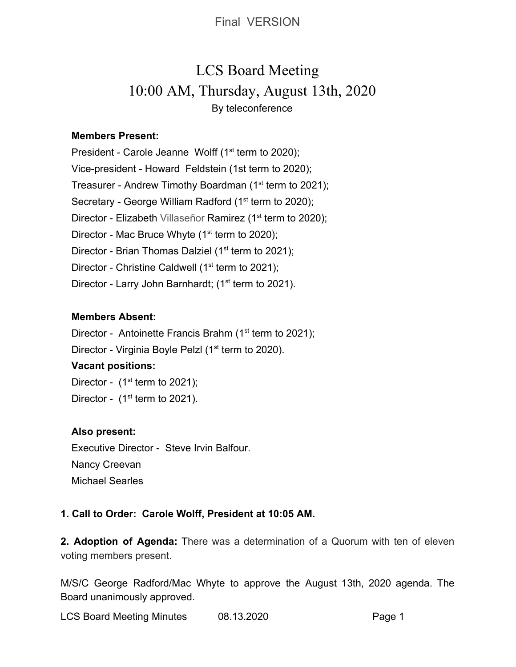Final VERSION

# LCS Board Meeting 10:00 AM, Thursday, August 13th, 2020 By teleconference

## **Members Present:**

President - Carole Jeanne Wolff  $(1<sup>st</sup>$  term to 2020); Vice-president - Howard Feldstein (1st term to 2020); Treasurer - Andrew Timothy Boardman (1<sup>st</sup> term to 2021); Secretary - George William Radford (1<sup>st</sup> term to 2020); Director - Elizabeth Villaseñor Ramirez (1<sup>st</sup> term to 2020); Director - Mac Bruce Whyte  $(1<sup>st</sup>$  term to 2020); Director - Brian Thomas Dalziel (1<sup>st</sup> term to 2021); Director - Christine Caldwell ( $1<sup>st</sup>$  term to 2021); Director - Larry John Barnhardt; (1<sup>st</sup> term to 2021).

## **Members Absent:**

Director - Antoinette Francis Brahm ( $1<sup>st</sup>$  term to 2021);

Director - Virginia Boyle Pelzl (1<sup>st</sup> term to 2020).

# **Vacant positions:**

Director -  $(1<sup>st</sup>$  term to 2021);

Director -  $(1<sup>st</sup>$  term to 2021).

## **Also present:**

Executive Director - Steve Irvin Balfour. Nancy Creevan Michael Searles

# **1. Call to Order: Carole Wolff, President at 10:05 AM.**

**2. Adoption of Agenda:** There was a determination of a Quorum with ten of eleven voting members present.

M/S/C George Radford/Mac Whyte to approve the August 13th, 2020 agenda. The Board unanimously approved.

LCS Board Meeting Minutes 08.13.2020 Page 1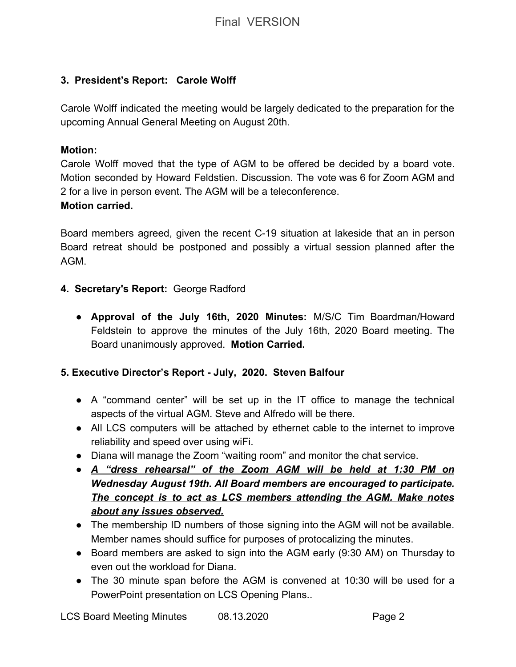# **3. President's Report: Carole Wolff**

Carole Wolff indicated the meeting would be largely dedicated to the preparation for the upcoming Annual General Meeting on August 20th.

## **Motion:**

Carole Wolff moved that the type of AGM to be offered be decided by a board vote. Motion seconded by Howard Feldstien. Discussion. The vote was 6 for Zoom AGM and 2 for a live in person event. The AGM will be a teleconference.

## **Motion carried.**

Board members agreed, given the recent C-19 situation at lakeside that an in person Board retreat should be postponed and possibly a virtual session planned after the AGM.

# **4. Secretary's Report:** George Radford

● **Approval of the July 16th, 2020 Minutes:** M/S/C Tim Boardman/Howard Feldstein to approve the minutes of the July 16th, 2020 Board meeting. The Board unanimously approved. **Motion Carried.**

# **5. Executive Director's Report - July, 2020. Steven Balfour**

- A "command center" will be set up in the IT office to manage the technical aspects of the virtual AGM. Steve and Alfredo will be there.
- All LCS computers will be attached by ethernet cable to the internet to improve reliability and speed over using wiFi.
- Diana will manage the Zoom "waiting room" and monitor the chat service.
- *● A "dress rehearsal" of the Zoom AGM will be held at 1:30 PM on Wednesday August 19th. All Board members are encouraged to participate. The concept is to act as LCS members attending the AGM. Make notes about any issues observed.*
- The membership ID numbers of those signing into the AGM will not be available. Member names should suffice for purposes of protocalizing the minutes.
- Board members are asked to sign into the AGM early (9:30 AM) on Thursday to even out the workload for Diana.
- The 30 minute span before the AGM is convened at 10:30 will be used for a PowerPoint presentation on LCS Opening Plans..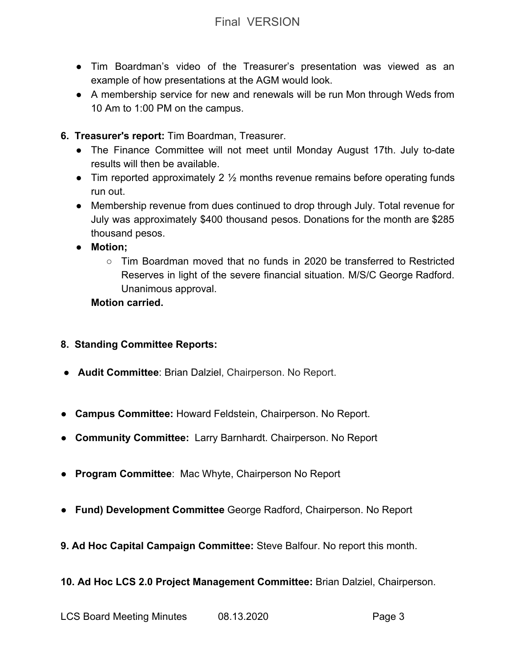- Tim Boardman's video of the Treasurer's presentation was viewed as an example of how presentations at the AGM would look.
- A membership service for new and renewals will be run Mon through Weds from 10 Am to 1:00 PM on the campus.
- **6. Treasurer's report:** Tim Boardman, Treasurer.
	- The Finance Committee will not meet until Monday August 17th. July to-date results will then be available.
	- Tim reported approximately 2  $\frac{1}{2}$  months revenue remains before operating funds run out.
	- Membership revenue from dues continued to drop through July. Total revenue for July was approximately \$400 thousand pesos. Donations for the month are \$285 thousand pesos.
	- **● Motion;**
		- $\circ$  Tim Boardman moved that no funds in 2020 be transferred to Restricted Reserves in light of the severe financial situation. M/S/C George Radford. Unanimous approval.

# **Motion carried.**

- **8. Standing Committee Reports:**
- **Audit Committee**: Brian Dalziel, Chairperson. No Report.
- ● **Campus Committee:** Howard Feldstein, Chairperson. No Report.
- **Community Committee:** Larry Barnhardt. Chairperson. No Report
- **Program Committee**: Mac Whyte, Chairperson No Report
- **Fund) Development Committee** George Radford, Chairperson. No Report
- **9. Ad Hoc Capital Campaign Committee:** Steve Balfour. No report this month.

**10. Ad Hoc LCS 2.0 Project Management Committee:** Brian Dalziel, Chairperson.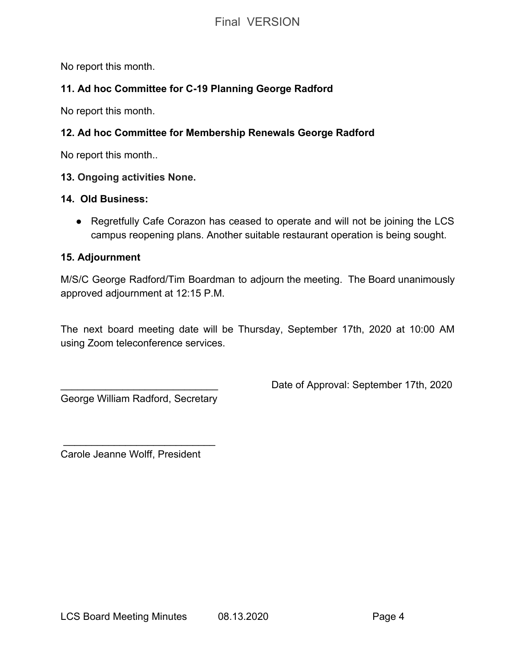No report this month.

# **11. Ad hoc Committee for C-19 Planning George Radford**

No report this month.

# **12. Ad hoc Committee for Membership Renewals George Radford**

No report this month..

## **13. Ongoing activities None.**

## **14. Old Business:**

● Regretfully Cafe Corazon has ceased to operate and will not be joining the LCS campus reopening plans. Another suitable restaurant operation is being sought.

## **15. Adjournment**

M/S/C George Radford/Tim Boardman to adjourn the meeting. The Board unanimously approved adjournment at 12:15 P.M.

The next board meeting date will be Thursday, September 17th, 2020 at 10:00 AM using Zoom teleconference services.

George William Radford, Secretary

Date of Approval: September 17th, 2020

Carole Jeanne Wolff, President

 $\frac{1}{2}$  ,  $\frac{1}{2}$  ,  $\frac{1}{2}$  ,  $\frac{1}{2}$  ,  $\frac{1}{2}$  ,  $\frac{1}{2}$  ,  $\frac{1}{2}$  ,  $\frac{1}{2}$  ,  $\frac{1}{2}$  ,  $\frac{1}{2}$  ,  $\frac{1}{2}$  ,  $\frac{1}{2}$  ,  $\frac{1}{2}$  ,  $\frac{1}{2}$  ,  $\frac{1}{2}$  ,  $\frac{1}{2}$  ,  $\frac{1}{2}$  ,  $\frac{1}{2}$  ,  $\frac{1$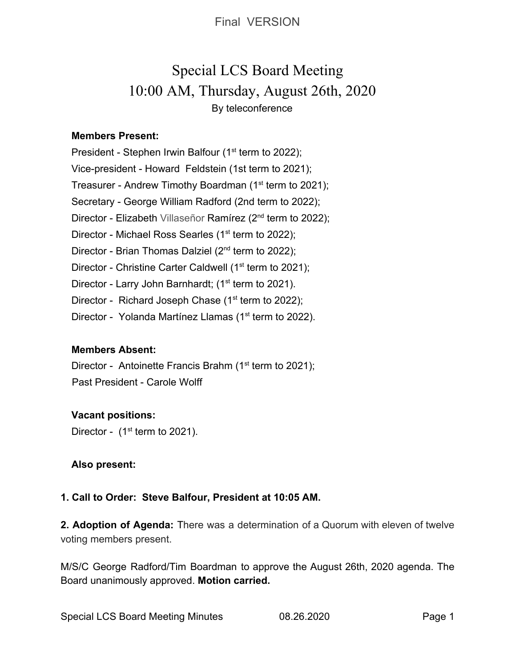Final VERSION

# Special LCS Board Meeting 10:00 AM, Thursday, August 26th, 2020 By teleconference

## **Members Present:**

President - Stephen Irwin Balfour (1<sup>st</sup> term to 2022); Vice-president - Howard Feldstein (1st term to 2021); Treasurer - Andrew Timothy Boardman (1<sup>st</sup> term to 2021); Secretary - George William Radford (2nd term to 2022); Director - Elizabeth Villaseñor Ramírez (2<sup>nd</sup> term to 2022); Director - Michael Ross Searles (1<sup>st</sup> term to 2022); Director - Brian Thomas Dalziel (2<sup>nd</sup> term to 2022); Director - Christine Carter Caldwell (1<sup>st</sup> term to 2021); Director - Larry John Barnhardt; (1<sup>st</sup> term to 2021). Director - Richard Joseph Chase  $(1<sup>st</sup>$  term to 2022); Director - Yolanda Martínez Llamas (1<sup>st</sup> term to 2022).

## **Members Absent:**

Director - Antoinette Francis Brahm ( $1<sup>st</sup>$  term to 2021); Past President - Carole Wolff

# **Vacant positions:**

Director -  $(1<sup>st</sup>$  term to 2021).

## **Also present:**

# **1. Call to Order: Steve Balfour, President at 10:05 AM.**

**2. Adoption of Agenda:** There was a determination of a Quorum with eleven of twelve voting members present.

M/S/C George Radford/Tim Boardman to approve the August 26th, 2020 agenda. The Board unanimously approved. **Motion carried.**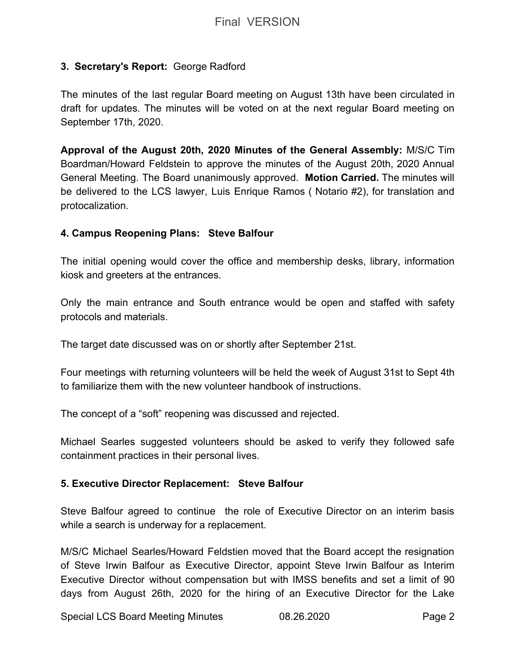# **3. Secretary's Report:** George Radford

The minutes of the last regular Board meeting on August 13th have been circulated in draft for updates. The minutes will be voted on at the next regular Board meeting on September 17th, 2020.

**Approval of the August 20th, 2020 Minutes of the General Assembly:** M/S/C Tim Boardman/Howard Feldstein to approve the minutes of the August 20th, 2020 Annual General Meeting. The Board unanimously approved. **Motion Carried.** The minutes will be delivered to the LCS lawyer, Luis Enrique Ramos ( Notario #2), for translation and protocalization.

# **4. Campus Reopening Plans: Steve Balfour**

The initial opening would cover the office and membership desks, library, information kiosk and greeters at the entrances.

Only the main entrance and South entrance would be open and staffed with safety protocols and materials.

The target date discussed was on or shortly after September 21st.

Four meetings with returning volunteers will be held the week of August 31st to Sept 4th to familiarize them with the new volunteer handbook of instructions.

The concept of a "soft" reopening was discussed and rejected.

Michael Searles suggested volunteers should be asked to verify they followed safe containment practices in their personal lives.

## **5. Executive Director Replacement: Steve Balfour**

Steve Balfour agreed to continue the role of Executive Director on an interim basis while a search is underway for a replacement.

M/S/C Michael Searles/Howard Feldstien moved that the Board accept the resignation of Steve Irwin Balfour as Executive Director, appoint Steve Irwin Balfour as Interim Executive Director without compensation but with IMSS benefits and set a limit of 90 days from August 26th, 2020 for the hiring of an Executive Director for the Lake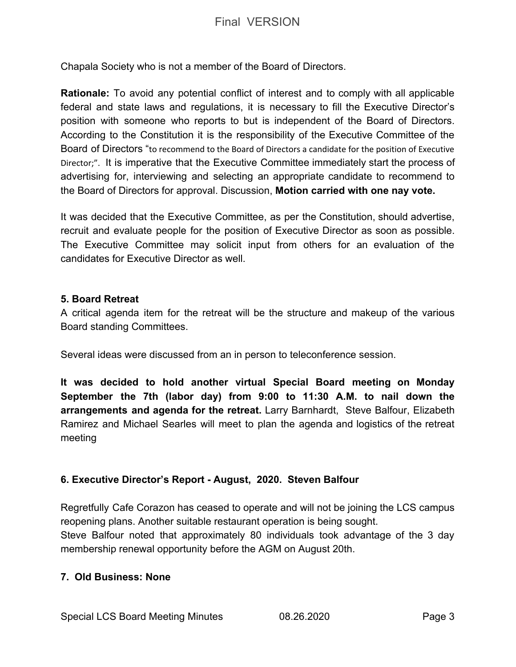Chapala Society who is not a member of the Board of Directors.

**Rationale:** To avoid any potential conflict of interest and to comply with all applicable federal and state laws and regulations, it is necessary to fill the Executive Director's position with someone who reports to but is independent of the Board of Directors. According to the Constitution it is the responsibility of the Executive Committee of the Board of Directors "to recommend to the Board of Directors a candidate for the position of Executive Director;". It is imperative that the Executive Committee immediately start the process of advertising for, interviewing and selecting an appropriate candidate to recommend to the Board of Directors for approval. Discussion, **Motion carried with one nay vote.**

It was decided that the Executive Committee, as per the Constitution, should advertise, recruit and evaluate people for the position of Executive Director as soon as possible. The Executive Committee may solicit input from others for an evaluation of the candidates for Executive Director as well.

## **5. Board Retreat**

A critical agenda item for the retreat will be the structure and makeup of the various Board standing Committees.

Several ideas were discussed from an in person to teleconference session.

**It was decided to hold another virtual Special Board meeting on Monday September the 7th (labor day) from 9:00 to 11:30 A.M. to nail down the arrangements and agenda for the retreat.** Larry Barnhardt, Steve Balfour, Elizabeth Ramirez and Michael Searles will meet to plan the agenda and logistics of the retreat meeting

## **6. Executive Director's Report - August, 2020. Steven Balfour**

Regretfully Cafe Corazon has ceased to operate and will not be joining the LCS campus reopening plans. Another suitable restaurant operation is being sought.

Steve Balfour noted that approximately 80 individuals took advantage of the 3 day membership renewal opportunity before the AGM on August 20th.

## **7. Old Business: None**